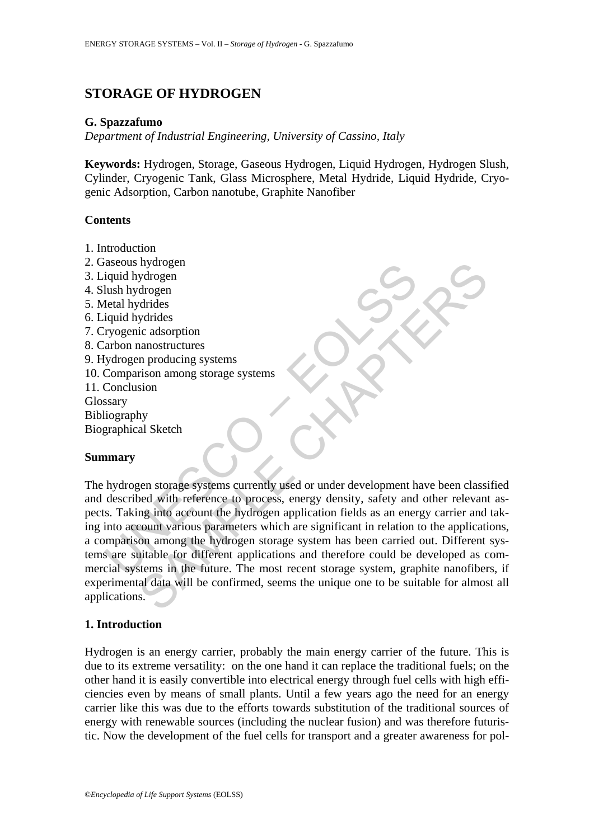# **STORAGE OF HYDROGEN**

### **G. Spazzafumo**

*Department of Industrial Engineering, University of Cassino, Italy* 

**Keywords:** Hydrogen, Storage, Gaseous Hydrogen, Liquid Hydrogen, Hydrogen Slush, Cylinder, Cryogenic Tank, Glass Microsphere, Metal Hydride, Liquid Hydride, Cryogenic Adsorption, Carbon nanotube, Graphite Nanofiber

#### **Contents**

- 1. Introduction
- 2. Gaseous hydrogen
- 3. Liquid hydrogen
- 4. Slush hydrogen
- 5. Metal hydrides
- 6. Liquid hydrides
- 7. Cryogenic adsorption
- 8. Carbon nanostructures
- 9. Hydrogen producing systems
- 10. Comparison among storage systems
- 11. Conclusion Glossary

Bibliography Biographical Sketch

#### **Summary**

Expectitual hydrogen<br>
in the hydrogen<br>
in the hydrogen<br>
lush hydrogen<br>
plead hydrides<br>
iquid hydrides<br>
iquid hydrides<br>
iquid hydrides<br>
iquid hydrides<br>
iquid hydrides<br>
Comparison among storage systems<br>
Comparison among stor nydrogen<br>
drogen<br>
drogen<br>
drogen<br>
drogen<br>
drogen<br>
drogen<br>
ananostructures<br>
systems<br>
strison among storage systems<br>
strison among storage systems<br>
sion<br>
hy<br>
al Sketch<br>
sion<br>
the reference to process, energy drogen fluids as The hydrogen storage systems currently used or under development have been classified and described with reference to process, energy density, safety and other relevant aspects. Taking into account the hydrogen application fields as an energy carrier and taking into account various parameters which are significant in relation to the applications, a comparison among the hydrogen storage system has been carried out. Different systems are suitable for different applications and therefore could be developed as commercial systems in the future. The most recent storage system, graphite nanofibers, if experimental data will be confirmed, seems the unique one to be suitable for almost all applications.

#### **1. Introduction**

Hydrogen is an energy carrier, probably the main energy carrier of the future. This is due to its extreme versatility: on the one hand it can replace the traditional fuels; on the other hand it is easily convertible into electrical energy through fuel cells with high efficiencies even by means of small plants. Until a few years ago the need for an energy carrier like this was due to the efforts towards substitution of the traditional sources of energy with renewable sources (including the nuclear fusion) and was therefore futuristic. Now the development of the fuel cells for transport and a greater awareness for pol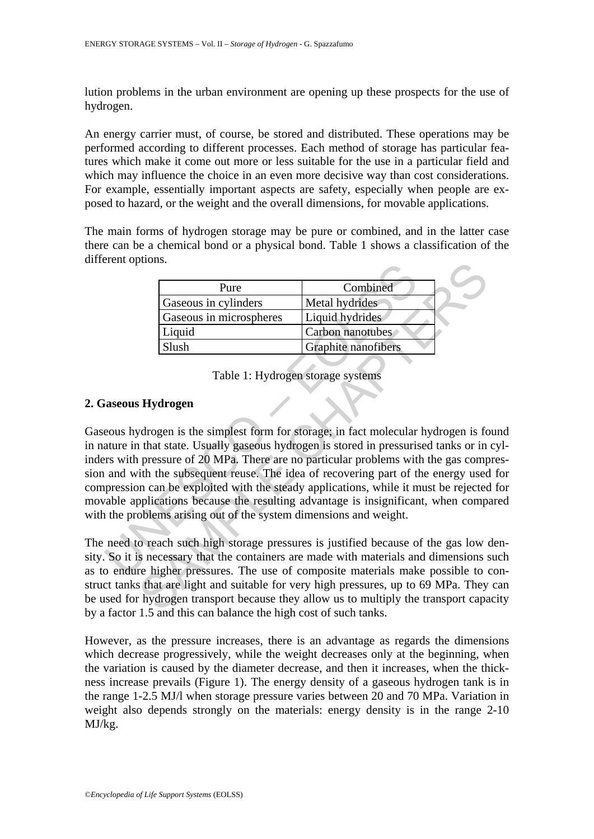lution problems in the urban environment are opening up these prospects for the use of hydrogen.

An energy carrier must, of course, be stored and distributed. These operations may be performed according to different processes. Each method of storage has particular features which make it come out more or less suitable for the use in a particular field and which may influence the choice in an even more decisive way than cost considerations. For example, essentially important aspects are safety, especially when people are exposed to hazard, or the weight and the overall dimensions, for movable applications.

The main forms of hydrogen storage may be pure or combined, and in the latter case there can be a chemical bond or a physical bond. Table 1 shows a classification of the different options.

| Pure                    | Combined                   |
|-------------------------|----------------------------|
| Gaseous in cylinders    | Metal hydrides             |
| Gaseous in microspheres | Liquid hydrides            |
| Liquid                  | Carbon nanotubes           |
| Slush                   | <b>Graphite nanofibers</b> |

Table 1: Hydrogen storage systems

## **2. Gaseous Hydrogen**

From ephonis.<br>
The process in cylinders<br>
Caseous in microspheres<br>
Caseous in microspheres<br>
Liquid hydrides<br>
Carbon nanotubes<br>
Carbon nanotubes<br>
Slush<br>
Table 1: Hydrogen storage systems<br>
Carphite nanofibers<br>
Carphite nanofi Pure Combined<br>
Caseous in cylinders<br>
Caseous in incrospheres<br>
Liquid Marides<br>
Carobin nanofolds<br>
Carobin nanofolds<br>
Carobin nanofolds<br>
Slush<br>
Table 1: Hydrogen storage systems<br> **Hydrogen**<br>
Table 1: Hydrogen storage systems Gaseous hydrogen is the simplest form for storage; in fact molecular hydrogen is found in nature in that state. Usually gaseous hydrogen is stored in pressurised tanks or in cylinders with pressure of 20 MPa. There are no particular problems with the gas compression and with the subsequent reuse. The idea of recovering part of the energy used for compression can be exploited with the steady applications, while it must be rejected for movable applications because the resulting advantage is insignificant, when compared with the problems arising out of the system dimensions and weight.

The need to reach such high storage pressures is justified because of the gas low density. So it is necessary that the containers are made with materials and dimensions such as to endure higher pressures. The use of composite materials make possible to construct tanks that are light and suitable for very high pressures, up to 69 MPa. They can be used for hydrogen transport because they allow us to multiply the transport capacity by a factor 1.5 and this can balance the high cost of such tanks.

However, as the pressure increases, there is an advantage as regards the dimensions which decrease progressively, while the weight decreases only at the beginning, when the variation is caused by the diameter decrease, and then it increases, when the thickness increase prevails (Figure 1). The energy density of a gaseous hydrogen tank is in the range 1-2.5 MJ/l when storage pressure varies between 20 and 70 MPa. Variation in weight also depends strongly on the materials: energy density is in the range 2-10 MJ/kg.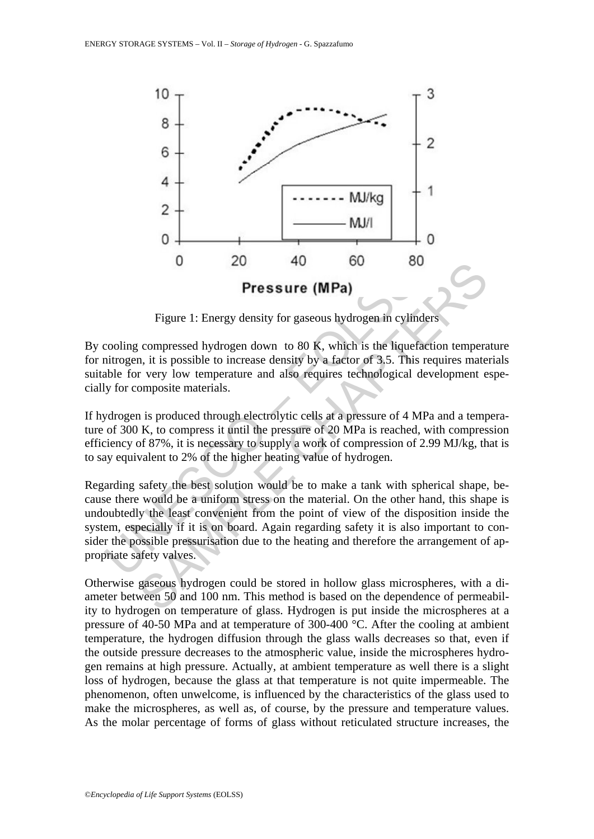

Figure 1: Energy density for gaseous hydrogen in cylinders

By cooling compressed hydrogen down to 80 K, which is the liquefaction temperature for nitrogen, it is possible to increase density by a factor of 3.5. This requires materials suitable for very low temperature and also requires technological development especially for composite materials.

If hydrogen is produced through electrolytic cells at a pressure of 4 MPa and a temperature of 300 K, to compress it until the pressure of 20 MPa is reached, with compression efficiency of 87%, it is necessary to supply a work of compression of 2.99 MJ/kg, that is to say equivalent to 2% of the higher heating value of hydrogen.

**Pressure (MPa)**<br>**Pressure (MPa)**<br>Figure 1: Energy density for gaseous hydrogen in cylin<br>cooling compressed hydrogen down to 80 K, which is the lique<br>initrogen, it is possible to increase density by a factor of 3.5. This<br>a **Example 18** Figure 1: Energy density for gaseous hydrogen in cylinders<br>
Figure 1: Energy density for gaseous hydrogen in cylinders<br>
compressed hydrogen down to 80 K, which is the liquefaction temperar<br>
or very low tempera Regarding safety the best solution would be to make a tank with spherical shape, because there would be a uniform stress on the material. On the other hand, this shape is undoubtedly the least convenient from the point of view of the disposition inside the system, especially if it is on board. Again regarding safety it is also important to consider the possible pressurisation due to the heating and therefore the arrangement of appropriate safety valves.

Otherwise gaseous hydrogen could be stored in hollow glass microspheres, with a diameter between 50 and 100 nm. This method is based on the dependence of permeability to hydrogen on temperature of glass. Hydrogen is put inside the microspheres at a pressure of 40-50 MPa and at temperature of 300-400 °C. After the cooling at ambient temperature, the hydrogen diffusion through the glass walls decreases so that, even if the outside pressure decreases to the atmospheric value, inside the microspheres hydrogen remains at high pressure. Actually, at ambient temperature as well there is a slight loss of hydrogen, because the glass at that temperature is not quite impermeable. The phenomenon, often unwelcome, is influenced by the characteristics of the glass used to make the microspheres, as well as, of course, by the pressure and temperature values. As the molar percentage of forms of glass without reticulated structure increases, the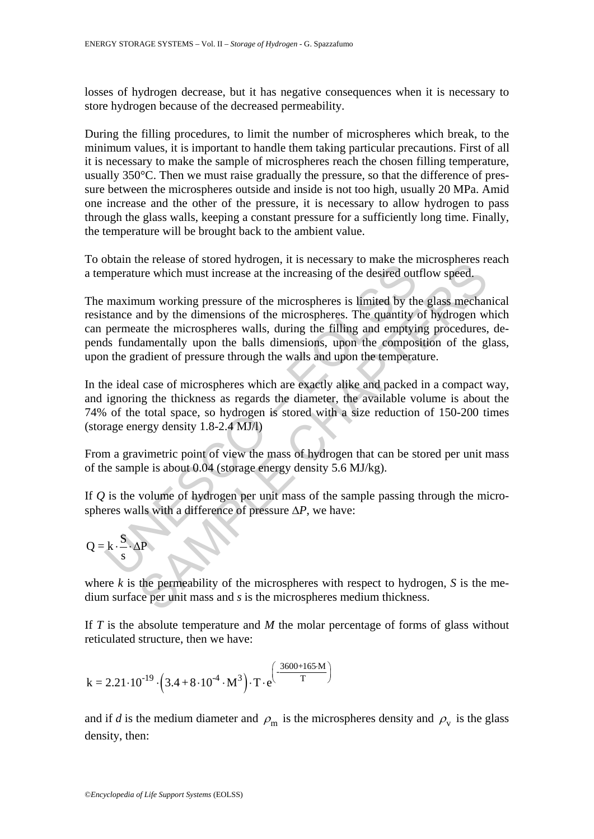losses of hydrogen decrease, but it has negative consequences when it is necessary to store hydrogen because of the decreased permeability.

During the filling procedures, to limit the number of microspheres which break, to the minimum values, it is important to handle them taking particular precautions. First of all it is necessary to make the sample of microspheres reach the chosen filling temperature, usually 350°C. Then we must raise gradually the pressure, so that the difference of pressure between the microspheres outside and inside is not too high, usually 20 MPa. Amid one increase and the other of the pressure, it is necessary to allow hydrogen to pass through the glass walls, keeping a constant pressure for a sufficiently long time. Finally, the temperature will be brought back to the ambient value.

To obtain the release of stored hydrogen, it is necessary to make the microspheres reach a temperature which must increase at the increasing of the desired outflow speed.

because the mass of the mass of the same the same that is the same that the same that the interesting of the desired out maximum working pressure of the microspheres is limited by the stance and by the dimensions of the m Increase or shorten interesting of the microsyperative term interesting of the distributed time<br>the which must increase at the increasing of the districted by the glass mechand<br>num working pressure of the microsypheres. T The maximum working pressure of the microspheres is limited by the glass mechanical resistance and by the dimensions of the microspheres. The quantity of hydrogen which can permeate the microspheres walls, during the filling and emptying procedures, depends fundamentally upon the balls dimensions, upon the composition of the glass, upon the gradient of pressure through the walls and upon the temperature.

In the ideal case of microspheres which are exactly alike and packed in a compact way, and ignoring the thickness as regards the diameter, the available volume is about the 74% of the total space, so hydrogen is stored with a size reduction of 150-200 times (storage energy density 1.8-2.4 MJ/l)

From a gravimetric point of view the mass of hydrogen that can be stored per unit mass of the sample is about 0.04 (storage energy density 5.6 MJ/kg).

If *Q* is the volume of hydrogen per unit mass of the sample passing through the microspheres walls with a difference of pressure Δ*P*, we have:

$$
Q = k \cdot \frac{S}{s} \cdot \Delta P
$$

where  $k$  is the permeability of the microspheres with respect to hydrogen,  $S$  is the medium surface per unit mass and *s* is the microspheres medium thickness.

If *T* is the absolute temperature and *M* the molar percentage of forms of glass without reticulated structure, then we have:

$$
k = 2.21 \cdot 10^{-19} \cdot \left(3.4 + 8 \cdot 10^{-4} \cdot M^3\right) \cdot T \cdot e^{\left(\frac{.3600 + 165 \cdot M}{T}\right)}
$$

and if *d* is the medium diameter and  $\rho_m$  is the microspheres density and  $\rho_v$  is the glass density, then: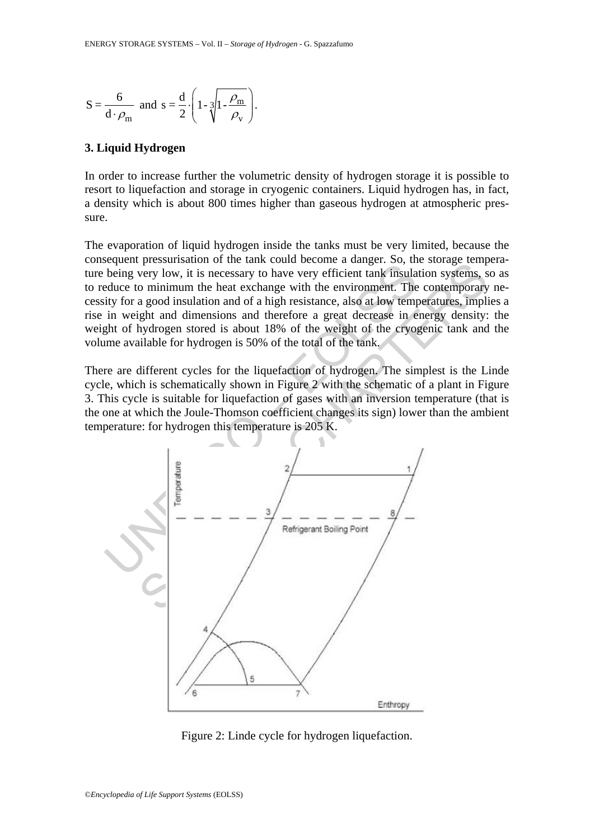$$
S = \frac{6}{d \cdot \rho_m} \text{ and } s = \frac{d}{2} \cdot \left( 1 - \sqrt[3]{1 - \frac{\rho_m}{\rho_v}} \right).
$$

### **3. Liquid Hydrogen**

In order to increase further the volumetric density of hydrogen storage it is possible to resort to liquefaction and storage in cryogenic containers. Liquid hydrogen has, in fact, a density which is about 800 times higher than gaseous hydrogen at atmospheric pressure.

The evaporation of liquid hydrogen inside the tanks must be very limited, because the consequent pressurisation of the tank could become a danger. So, the storage temperature being very low, it is necessary to have very efficient tank insulation systems, so as to reduce to minimum the heat exchange with the environment. The contemporary necessity for a good insulation and of a high resistance, also at low temperatures, implies a rise in weight and dimensions and therefore a great decrease in energy density: the weight of hydrogen stored is about 18% of the weight of the cryogenic tank and the volume available for hydrogen is 50% of the total of the tank.

There are different cycles for the liquefaction of hydrogen. The simplest is the Linde cycle, which is schematically shown in Figure 2 with the schematic of a plant in Figure 3. This cycle is suitable for liquefaction of gases with an inversion temperature (that is the one at which the Joule-Thomson coefficient changes its sign) lower than the ambient temperature: for hydrogen this temperature is 205 K.



Figure 2: Linde cycle for hydrogen liquefaction.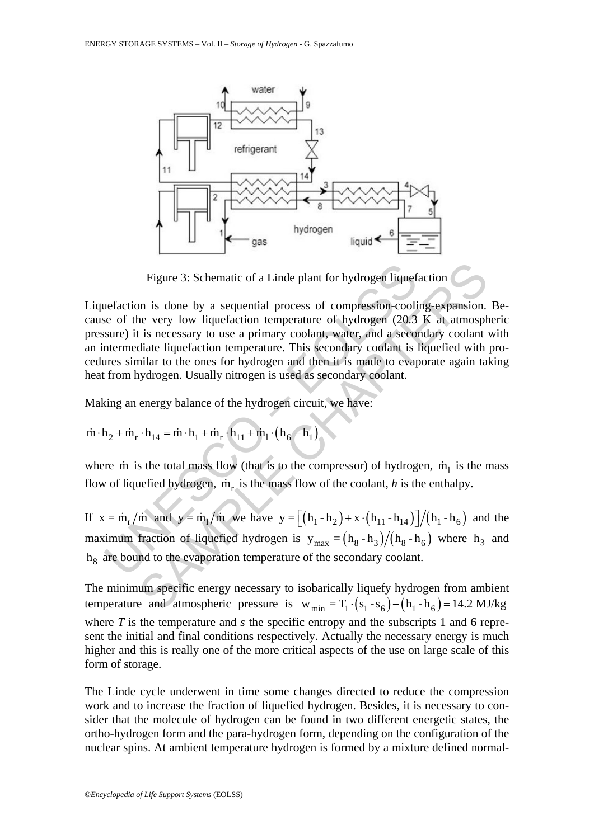

Figure 3: Schematic of a Linde plant for hydrogen liquefaction

Figure 3: Schematic of a Linde plant for hydrogen liquef<br>
uefaction is done by a sequential process of compression-cooli<br>
se of the very low liquefaction temperature of hydrogen (20.3<br>
sure) it is necessary to use a prima Figure 3: Schematic of a Linde plant for hydrogen liquefaction<br>
in is done by a sequential process of compression-cooling-expansion.<br>
the very low liquefaction temperature of hydrogen (20.3 K at atmosph<br>
in is necessary t Liquefaction is done by a sequential process of compression-cooling-expansion. Because of the very low liquefaction temperature of hydrogen (20.3 K at atmospheric pressure) it is necessary to use a primary coolant, water, and a secondary coolant with an intermediate liquefaction temperature. This secondary coolant is liquefied with procedures similar to the ones for hydrogen and then it is made to evaporate again taking heat from hydrogen. Usually nitrogen is used as secondary coolant.

Making an energy balance of the hydrogen circuit, we have:

$$
\dot{m} \cdot h_2 + \dot{m}_r \cdot h_{14} = \dot{m} \cdot h_1 + \dot{m}_r \cdot h_{11} + \dot{m}_l \cdot (h_6 - h_1)
$$

where m is the total mass flow (that is to the compressor) of hydrogen,  $\dot{m}_1$  is the mass flow of liquefied hydrogen,  $\dot{m}_r$  is the mass flow of the coolant, *h* is the enthalpy.

If  $x = m_r / m$  and  $y = m_l / m$  we have  $y = \left[ (h_1 - h_2) + x \cdot (h_{l1} - h_{l4}) \right] / (h_1 - h_6)$  and the maximum fraction of liquefied hydrogen is  $y_{max} = (h_8 - h_3)/(h_8 - h_6)$  where  $h_3$  and  $h<sub>8</sub>$  are bound to the evaporation temperature of the secondary coolant.

The minimum specific energy necessary to isobarically liquefy hydrogen from ambient temperature and atmospheric pressure is  $w_{min} = T_1 \cdot (s_1 - s_6) - (h_1 - h_6) = 14.2 \text{ MJ/kg}$ where  $T$  is the temperature and  $s$  the specific entropy and the subscripts 1 and 6 represent the initial and final conditions respectively. Actually the necessary energy is much higher and this is really one of the more critical aspects of the use on large scale of this form of storage.

The Linde cycle underwent in time some changes directed to reduce the compression work and to increase the fraction of liquefied hydrogen. Besides, it is necessary to consider that the molecule of hydrogen can be found in two different energetic states, the ortho-hydrogen form and the para-hydrogen form, depending on the configuration of the nuclear spins. At ambient temperature hydrogen is formed by a mixture defined normal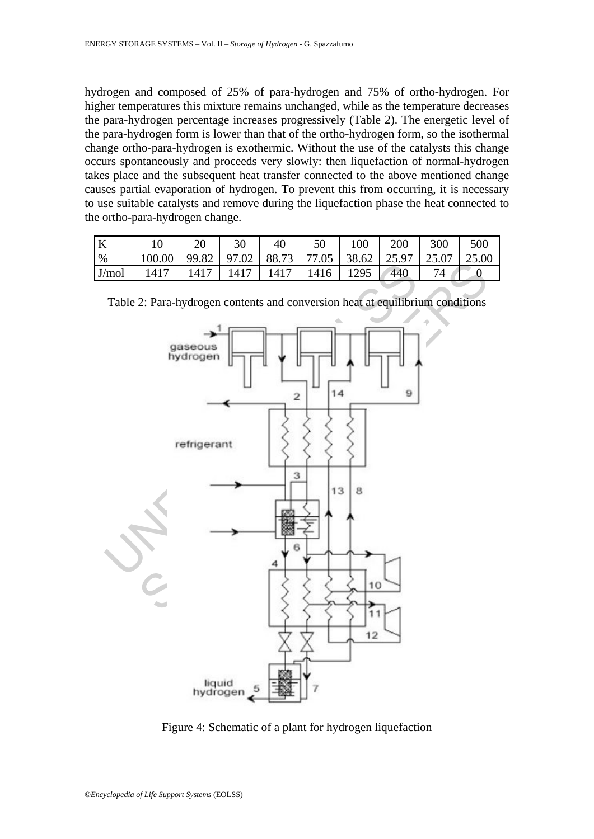hydrogen and composed of 25% of para-hydrogen and 75% of ortho-hydrogen. For higher temperatures this mixture remains unchanged, while as the temperature decreases the para-hydrogen percentage increases progressively (Table 2). The energetic level of the para-hydrogen form is lower than that of the ortho-hydrogen form, so the isothermal change ortho-para-hydrogen is exothermic. Without the use of the catalysts this change occurs spontaneously and proceeds very slowly: then liquefaction of normal-hydrogen takes place and the subsequent heat transfer connected to the above mentioned change causes partial evaporation of hydrogen. To prevent this from occurring, it is necessary to use suitable catalysts and remove during the liquefaction phase the heat connected to the ortho-para-hydrogen change.

| А     |        | 20   |                 |       |       | $100^{\circ}$ | 200 | 300   | 500   |
|-------|--------|------|-----------------|-------|-------|---------------|-----|-------|-------|
| %     | 100.00 |      | $99.82$   97.02 | 88.73 | 77.05 | 38.62   25.97 |     | 25.07 | 25.00 |
| J/mol | 1417   | 1417 | 1417            | 1417  | 1416  | 1295          | 440 |       |       |



Table 2: Para-hydrogen contents and conversion heat at equilibrium conditions

Figure 4: Schematic of a plant for hydrogen liquefaction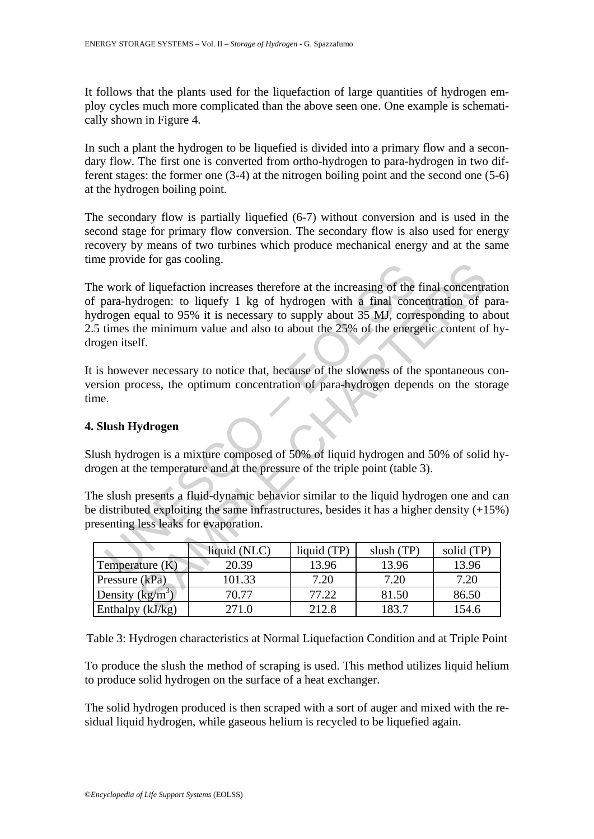It follows that the plants used for the liquefaction of large quantities of hydrogen employ cycles much more complicated than the above seen one. One example is schematically shown in Figure 4.

In such a plant the hydrogen to be liquefied is divided into a primary flow and a secondary flow. The first one is converted from ortho-hydrogen to para-hydrogen in two different stages: the former one (3-4) at the nitrogen boiling point and the second one (5-6) at the hydrogen boiling point.

The secondary flow is partially liquefied (6-7) without conversion and is used in the second stage for primary flow conversion. The secondary flow is also used for energy recovery by means of two turbines which produce mechanical energy and at the same time provide for gas cooling.

## **4. Slush Hydrogen**

| $\mathbf{m}$ provide for gas coomig.                                                                                                                                                                                                                                                                                                                                    |              |             |              |            |  |  |  |  |  |  |  |
|-------------------------------------------------------------------------------------------------------------------------------------------------------------------------------------------------------------------------------------------------------------------------------------------------------------------------------------------------------------------------|--------------|-------------|--------------|------------|--|--|--|--|--|--|--|
| he work of liquefaction increases therefore at the increasing of the final concentratio<br>f para-hydrogen: to liquefy 1 kg of hydrogen with a final concentration of para<br>ydrogen equal to 95% it is necessary to supply about 35 MJ, corresponding to abou<br>.5 times the minimum value and also to about the 25% of the energetic content of hy<br>rogen itself. |              |             |              |            |  |  |  |  |  |  |  |
| is however necessary to notice that, because of the slowness of the spontaneous cor<br>ersion process, the optimum concentration of para-hydrogen depends on the storage<br>me.                                                                                                                                                                                         |              |             |              |            |  |  |  |  |  |  |  |
| . Slush Hydrogen                                                                                                                                                                                                                                                                                                                                                        |              |             |              |            |  |  |  |  |  |  |  |
| lush hydrogen is a mixture composed of 50% of liquid hydrogen and 50% of solid hy<br>rogen at the temperature and at the pressure of the triple point (table 3).                                                                                                                                                                                                        |              |             |              |            |  |  |  |  |  |  |  |
| he slush presents a fluid-dynamic behavior similar to the liquid hydrogen one and ca<br>e distributed exploiting the same infrastructures, besides it has a higher density (+15%)<br>resenting less leaks for evaporation.                                                                                                                                              |              |             |              |            |  |  |  |  |  |  |  |
|                                                                                                                                                                                                                                                                                                                                                                         | liquid (NLC) | liquid (TP) | slush $(TP)$ | solid (TP) |  |  |  |  |  |  |  |
| Temperature $(K)$                                                                                                                                                                                                                                                                                                                                                       | 20.39        | 13.96       | 13.96        | 13.96      |  |  |  |  |  |  |  |
| Pressure (kPa)                                                                                                                                                                                                                                                                                                                                                          | 101.33       | 7.20        | 7.20         | 7.20       |  |  |  |  |  |  |  |
| Density $(kg/m^3)$                                                                                                                                                                                                                                                                                                                                                      | 70.77        | 77.22       | 81.50        | 86.50      |  |  |  |  |  |  |  |
| Enthalpy (kJ/kg)                                                                                                                                                                                                                                                                                                                                                        | 271.0        | 212.8       | 183.7        | 154.6      |  |  |  |  |  |  |  |

Table 3: Hydrogen characteristics at Normal Liquefaction Condition and at Triple Point

To produce the slush the method of scraping is used. This method utilizes liquid helium to produce solid hydrogen on the surface of a heat exchanger.

The solid hydrogen produced is then scraped with a sort of auger and mixed with the residual liquid hydrogen, while gaseous helium is recycled to be liquefied again.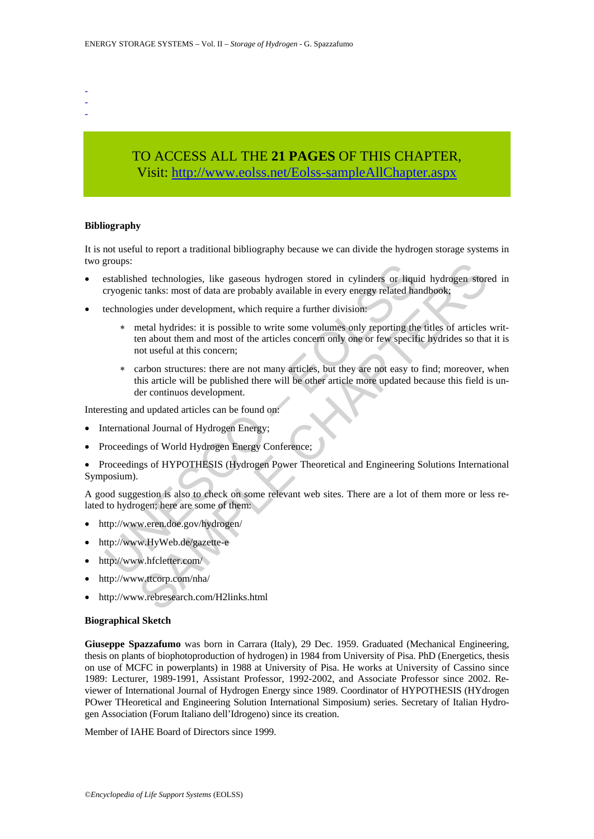- -
- -

# TO ACCESS ALL THE **21 PAGES** OF THIS CHAPTER, Visit[: http://www.eolss.net/Eolss-sampleAllChapter.aspx](https://www.eolss.net/ebooklib/sc_cart.aspx?File=E3-14-05-01)

#### **Bibliography**

It is not useful to report a traditional bibliography because we can divide the hydrogen storage systems in two groups:

- established technologies, like gaseous hydrogen stored in cylinders or liquid hydrogen stored in cryogenic tanks: most of data are probably available in every energy related handbook;
- technologies under development, which require a further division:
- groups.<br>
Sestablished technologies, like gaseous hydrogen stored in cylinders or liqu<br>
seryogenic tanks: most of data are probably available in every energy related ha<br>
technologies under development, which require a furth red technologies, like gaseous hydrogen stored in cylinders or liquid hydrogen store clanks: most of data are probably available in every energy related handbook;<br>gies under development, which require a further division:<br>g ∗ metal hydrides: it is possible to write some volumes only reporting the titles of articles written about them and most of the articles concern only one or few specific hydrides so that it is not useful at this concern;
	- ∗ carbon structures: there are not many articles, but they are not easy to find; moreover, when this article will be published there will be other article more updated because this field is under continuos development.

Interesting and updated articles can be found on:

- International Journal of Hydrogen Energy;
- Proceedings of World Hydrogen Energy Conference;
- Proceedings of HYPOTHESIS (Hydrogen Power Theoretical and Engineering Solutions International Symposium).

A good suggestion is also to check on some relevant web sites. There are a lot of them more or less related to hydrogen; here are some of them:

- http://www.eren.doe.gov/hydrogen/
- http://www.HyWeb.de/gazette-e
- http://www.hfcletter.com/
- http://www.ttcorp.com/nha/
- http://www.rebresearch.com/H2links.html

#### **Biographical Sketch**

**Giuseppe Spazzafumo** was born in Carrara (Italy), 29 Dec. 1959. Graduated (Mechanical Engineering, thesis on plants of biophotoproduction of hydrogen) in 1984 from University of Pisa. PhD (Energetics, thesis on use of MCFC in powerplants) in 1988 at University of Pisa. He works at University of Cassino since 1989: Lecturer, 1989-1991, Assistant Professor, 1992-2002, and Associate Professor since 2002. Reviewer of International Journal of Hydrogen Energy since 1989. Coordinator of HYPOTHESIS (HYdrogen POwer THeoretical and Engineering Solution International Simposium) series. Secretary of Italian Hydrogen Association (Forum Italiano dell'Idrogeno) since its creation.

Member of IAHE Board of Directors since 1999.